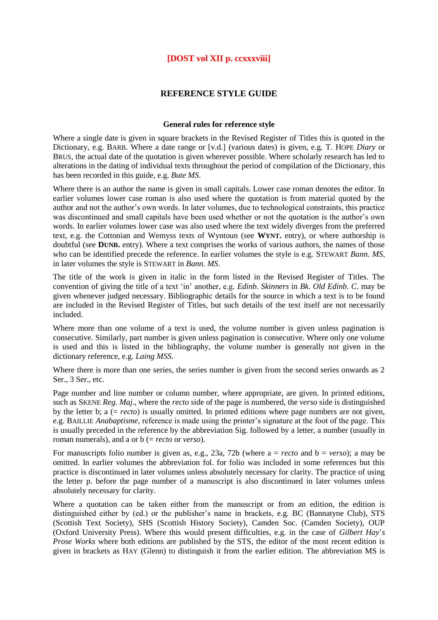# **[DOST vol XII p. ccxxxviii]**

# **REFERENCE STYLE GUIDE**

# **General rules for reference style**

Where a single date is given in square brackets in the Revised Register of Titles this is quoted in the Dictionary, e.g. BARB. Where a date range or [v.d.] (various dates) is given, e.g*.* T. HOPE *Diary* or BRUS, the actual date of the quotation is given wherever possible. Where scholarly research has led to alterations in the dating of individual texts throughout the period of compilation of the Dictionary, this has been recorded in this guide, e.g. *Bute MS*.

Where there is an author the name is given in small capitals. Lower case roman denotes the editor. In earlier volumes lower case roman is also used where the quotation is from material quoted by the author and not the author's own words. In later volumes, due to technological constraints, this practice was discontinued and small capitals have been used whether or not the quotation is the author's own words. In earlier volumes lower case was also used where the text widely diverges from the preferred text, e.g. the Cottonian and Wemyss texts of Wyntoun (see **WYNT.** entry), or where authorship is doubtful (see **DUNB**, entry). Where a text comprises the works of various authors, the names of those who can be identified precede the reference. In earlier volumes the style is e.g. STEWART *Bann. MS*, in later volumes the style is STEWART in *Bann. MS*.

The title of the work is given in italic in the form listed in the Revised Register of Titles. The convention of giving the title of a text 'in' another, e.g*. Edinb. Skinners* in *Bk. Old Edinb. C*. may be given whenever judged necessary. Bibliographic details for the source in which a text is to be found are included in the Revised Register of Titles, but such details of the text itself are not necessarily included.

Where more than one volume of a text is used, the volume number is given unless pagination is consecutive. Similarly, part number is given unless pagination is consecutive. Where only one volume is used and this is listed in the bibliography, the volume number is generally not given in the dictionary reference, e.g. *Laing MSS*.

Where there is more than one series, the series number is given from the second series onwards as 2 Ser., 3 Ser., etc.

Page number and line number or column number, where appropriate, are given. In printed editions, such as SKENE *Reg. Maj*., where the *recto* side of the page is numbered, the *verso* side is distinguished by the letter b; a (= *recto*) is usually omitted. In printed editions where page numbers are not given, e.g. BAILLIE *Anabaptisme*, reference is made using the printer's signature at the foot of the page. This is usually preceded in the reference by the abbreviation Sig. followed by a letter, a number (usually in roman numerals), and a or b (= *recto* or *verso*).

For manuscripts folio number is given as, e.g., 23a, 72b (where a = *recto* and b = *verso*); a may be omitted. In earlier volumes the abbreviation fol. for folio was included in some references but this practice is discontinued in later volumes unless absolutely necessary for clarity. The practice of using the letter p. before the page number of a manuscript is also discontinued in later volumes unless absolutely necessary for clarity.

Where a quotation can be taken either from the manuscript or from an edition, the edition is distinguished either by (ed.) or the publisher's name in brackets, e.g*.* BC (Bannatyne Club), STS (Scottish Text Society), SHS (Scottish History Society), Camden Soc. (Camden Society), OUP (Oxford University Press). Where this would present difficulties, e.g. in the case of *Gilbert Hay*'*s Prose Works* where both editions are published by the STS, the editor of the most recent edition is given in brackets as HAY (Glenn) to distinguish it from the earlier edition. The abbreviation MS is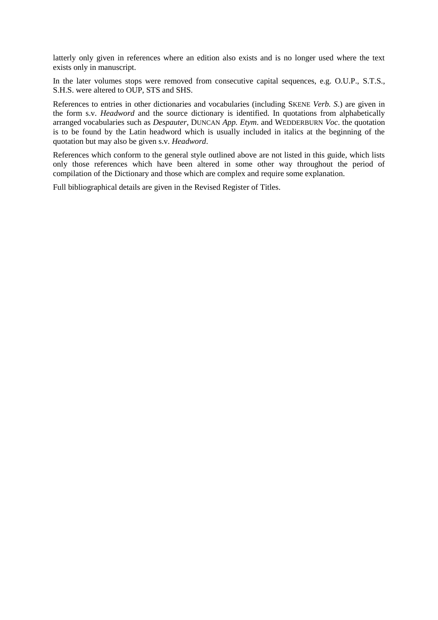latterly only given in references where an edition also exists and is no longer used where the text exists only in manuscript.

In the later volumes stops were removed from consecutive capital sequences, e.g. O.U.P., S.T.S., S.H.S. were altered to OUP, STS and SHS.

References to entries in other dictionaries and vocabularies (including SKENE *Verb. S*.) are given in the form s.v. *Headword* and the source dictionary is identified. In quotations from alphabetically arranged vocabularies such as *Despauter*, DUNCAN *App. Etym*. and WEDDERBURN *Voc*. the quotation is to be found by the Latin headword which is usually included in italics at the beginning of the quotation but may also be given s.v. *Headword*.

References which conform to the general style outlined above are not listed in this guide, which lists only those references which have been altered in some other way throughout the period of compilation of the Dictionary and those which are complex and require some explanation.

Full bibliographical details are given in the Revised Register of Titles.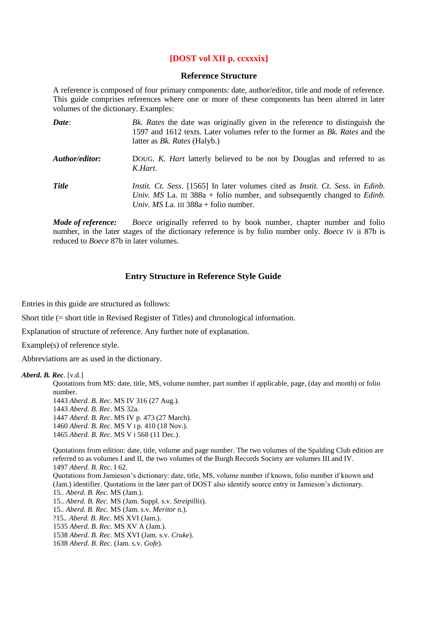# **[DOST vol XII p. ccxxxix]**

# **Reference Structure**

A reference is composed of four primary components: date, author/editor, title and mode of reference. This guide comprises references where one or more of these components has been altered in later volumes of the dictionary. Examples:

| Date:          | Bk. Rates the date was originally given in the reference to distinguish the<br>1597 and 1612 texts. Later volumes refer to the former as Bk. Rates and the<br>latter as <i>Bk. Rates</i> (Halyb.)                                  |
|----------------|------------------------------------------------------------------------------------------------------------------------------------------------------------------------------------------------------------------------------------|
| Author/editor: | DOUG. K. Hart latterly believed to be not by Douglas and referred to as<br>K.Hart.                                                                                                                                                 |
| <b>Title</b>   | <i>Instit.</i> Ct. Sess. [1565] In later volumes cited as <i>Instit.</i> Ct. Sess. in <i>Edinb.</i><br>Univ. MS La. III 388a + folio number, and subsequently changed to <i>Edinb</i> .<br>Univ. MS La. III $388a +$ folio number. |

*Mode of reference: Boece* originally referred to by book number, chapter number and folio number, in the later stages of the dictionary reference is by folio number only. *Boece* IV ii 87b is reduced to *Boece* 87b in later volumes.

# **Entry Structure in Reference Style Guide**

Entries in this guide are structured as follows:

Short title (= short title in Revised Register of Titles) and chronological information.

Explanation of structure of reference. Any further note of explanation.

Example(s) of reference style.

Abbreviations are as used in the dictionary.

# *Aberd. B. Rec.* [v.d.]

Quotations from MS: date, title, MS, volume number, part number if applicable, page, (day and month) or folio number.

*Aberd. B. Rec.* MS IV 316 (27 Aug.). *Aberd. B. Rec.* MS 32a. *Aberd. B. Rec.* MS IV p. 473 (27 March). *Aberd. B. Rec.* MS V I p. 410 (18 Nov.). *Aberd. B. Rec.* MS V I 568 (11 Dec.).

Quotations from edition: date, title, volume and page number. The two volumes of the Spalding Club edition are referred to as volumes I and II, the two volumes of the Burgh Records Society are volumes III and IV. 1497 *Aberd. B. Rec.* I 62. Quotations from Jamieson's dictionary: date, title, MS, volume number if known, folio number if known and (Jam.) identifier. Quotations in the later part of DOST also identify source entry in Jamieson's dictionary. 15.. *Aberd. B. Rec.* MS (Jam.). 15.. *Aberd. B. Rec.* MS (Jam. Suppl. s.v. *Streipillis*). 15.. *Aberd. B. Rec.* MS (Jam. s.v. *Meritor* n.). ?15.. *Aberd. B. Rec.* MS XVI (Jam.). 1535 *Aberd. B. Rec.* MS XV A (Jam.). 1538 *Aberd. B. Rec.* MS XVI (Jam. s.v. *Cruke*). 1638 *Aberd. B. Rec*. (Jam. s.v. *Gofe*).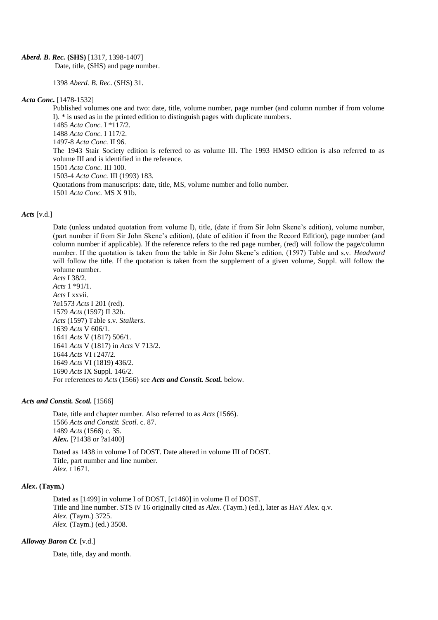#### *Aberd. B. Rec.* **(SHS)** [1317, 1398-1407]

Date, title, (SHS) and page number.

1398 *Aberd. B. Rec*. (SHS) 31.

#### *Acta Conc.* [1478-1532]

Published volumes one and two: date, title, volume number, page number (and column number if from volume I). \* is used as in the printed edition to distinguish pages with duplicate numbers. 1485 *Acta Conc.* I \*117/2. 1488 *Acta Conc.* I 117/2. 1497-8 *Acta Conc.* II 96. The 1943 Stair Society edition is referred to as volume III. The 1993 HMSO edition is also referred to as volume III and is identified in the reference. 1501 *Acta Conc.* III 100. 1503-4 *Acta Conc.* III (1993) 183. Quotations from manuscripts: date, title, MS, volume number and folio number. 1501 *Acta Conc.* MS X 91b.

#### *Acts* [v.d.]

Date (unless undated quotation from volume I), title, (date if from Sir John Skene's edition), volume number, (part number if from Sir John Skene's edition), (date of edition if from the Record Edition), page number (and column number if applicable). If the reference refers to the red page number, (red) will follow the page/column number. If the quotation is taken from the table in Sir John Skene's edition, (1597) Table and s.v. *Headword* will follow the title. If the quotation is taken from the supplement of a given volume, Suppl. will follow the volume number.

*Acts* I 38/2. *Acts* 1 \*91/1. *Acts* I xxvii. ?*a*1573 *Acts* I 201 (red). 1579 *Acts* (1597) II 32b. *Acts* (1597) Table s.v. *Stalkers*. 1639 *Acts* V 606/1. 1641 *Acts* V (1817) 506/1. 1641 *Acts* V (1817) in *Acts* V 713/2. 1644 *Acts* VI I 247/2. 1649 *Acts* VI (1819) 436/2. 1690 *Acts* IX Suppl. 146/2. For references to *Acts* (1566) see *Acts and Constit. Scotl.* below.

#### *Acts and Constit. Scotl.* [1566]

Date, title and chapter number. Also referred to as *Acts* (1566). 1566 *Acts and Constit. Scotl.* c. 87. 1489 *Acts* (1566) c. 35. *Alex.* [?1438 or ?a1400]

Dated as 1438 in volume I of DOST. Date altered in volume III of DOST. Title, part number and line number. *Alex*. I 1671.

#### *Alex***. (Taym.)**

Dated as [1499] in volume I of DOST, [*c*1460] in volume II of DOST. Title and line number. STS IV 16 originally cited as *Alex*. (Taym.) (ed.), later as HAY *Alex*. q.v. *Alex*. (Taym.) 3725. *Alex*. (Taym.) (ed.) 3508.

#### *Alloway Baron Ct*. [v.d.]

Date, title, day and month.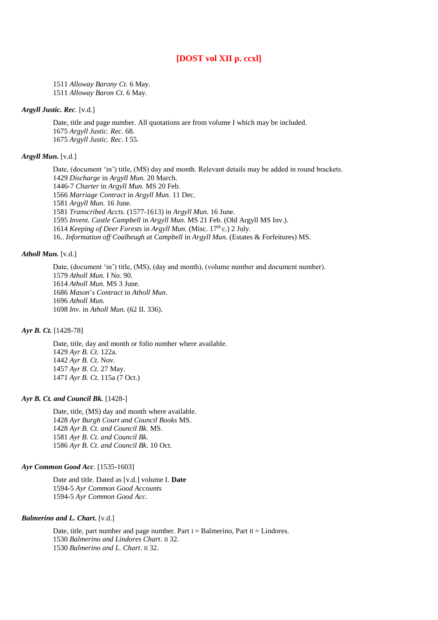# **[DOST vol XII p. ccxl]**

1511 *Alloway Barony Ct*. 6 May. 1511 *Alloway Baron Ct*. 6 May.

# *Argyll Justic. Rec*. [v.d.]

Date, title and page number. All quotations are from volume I which may be included. 1675 *Argyll Justic. Rec*. 68. 1675 *Argyll Justic. Rec*. I 55.

# *Argyll Mun.* [v.d.]

Date, (document 'in') title, (MS) day and month. Relevant details may be added in round brackets. *Discharge* in *Argyll Mun.* 20 March. 1446-7 *Charter* in *Argyll Mun.* MS 20 Feb. *Marriage Contract* in *Argyll Mun.* 11 Dec. *Argyll Mun.* 16 June. *Transcribed Accts.* (1577-1613) in *Argyll Mun.* 16 June. *Invent. Castle Campbell* in *Argyll Mun.* MS 21 Feb. (Old Argyll MS Inv.). *Keeping of Deer Forests* in *Argyll Mun.* (Misc. 17<sup>th</sup> c.) 2 July. 16.. *Information off Coalheugh at Campbell* in *Argyll Mun.* (Estates & Forfeitures) MS.

#### *Atholl Mun.* [v.d.]

Date, (document 'in') title, (MS), (day and month), (volume number and document number). *Atholl Mun.* I No. 90. *Atholl Mun.* MS 3 June. *Mason*'*s Contract* in *Atholl Mun. Atholl Mun. Inv.* in *Atholl Mun.* (62 II. 336).

#### *Ayr B. Ct.* [1428-78]

Date, title, day and month or folio number where available. *Ayr B. Ct.* 122a. *Ayr B. Ct.* Nov. *Ayr B. Ct.* 27 May. *Ayr B. Ct.* 115a (7 Oct.)

#### *Ayr B. Ct. and Council Bk.* [1428-]

Date, title, (MS) day and month where available. *Ayr Burgh Court and Council Books* MS. *Ayr B. Ct. and Council Bk*. MS. *Ayr B. Ct. and Council Bk*. *Ayr B. Ct. and Council Bk*. 10 Oct.

#### *Ayr Common Good Acc*. [1535-1603]

Date and title. Dated as [v.d.] volume I. **Date** 1594-5 *Ayr Common Good Accounts* 1594-5 *Ayr Common Good Acc*.

#### *Balmerino and L. Chart***.** [v.d.]

Date, title, part number and page number. Part  $I =$  Balmerino, Part  $II =$  Lindores. 1530 *Balmerino and Lindores Chart*. II 32. 1530 *Balmerino and L. Chart*. II 32.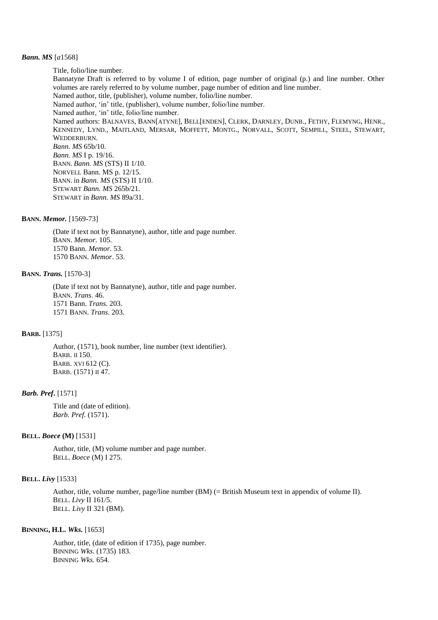#### *Bann. MS* [*a*1568]

Title, folio/line number. Bannatyne Draft is referred to by volume I of edition, page number of original (p.) and line number. Other volumes are rarely referred to by volume number, page number of edition and line number. Named author, title, (publisher), volume number, folio/line number. Named author, 'in' title, (publisher), volume number, folio/line number. Named author, 'in' title, folio/line number. Named authors: BALNAVES, BANN[ATYNE], BELL[ENDEN], CLERK, DARNLEY, DUNB., FETHY, FLEMYNG, HENR., KENNEDY, LYND., MAITLAND, MERSAR, MOFFETT, MONTG., NORVALL, SCOTT, SEMPILL, STEEL, STEWART, WEDDERBURN. *Bann. MS* 65b/10. *Bann. MS* I p. 19/16. BANN. *Bann. MS* (STS) II 1/10. NORVELL Bann. MS p. 12/15. BANN. in *Bann. MS* (STS) II 1/10. STEWART *Bann. MS* 265b/21. STEWART in *Bann. MS* 89a/31.

#### **BANN.** *Memor.* [1569-73]

(Date if text not by Bannatyne), author, title and page number. BANN. *Memor*. 105. 1570 Bann. *Memor*. 53. 1570 BANN. *Memor*. 53.

#### **BANN.** *Trans.* [1570-3]

(Date if text not by Bannatyne), author, title and page number. BANN. *Trans*. 46. 1571 Bann. *Trans*. 203. 1571 BANN. *Trans*. 203.

#### **BARB.** [1375]

Author, (1571), book number, line number (text identifier). BARB. II 150. BARB. XVI 612 (C). BARB. (1571) II 47.

### *Barb. Pref***.** [1571]

Title and (date of edition). *Barb. Pref.* (1571).

#### **BELL.** *Boece* **(M)** [1531]

Author, title, (M) volume number and page number. BELL. *Boece* (M) I 275.

# **BELL.** *Livy* [1533]

Author, title, volume number, page/line number (BM) (= British Museum text in appendix of volume II). BELL. *Livy* II 161/5. BELL. *Livy* II 321 (BM).

#### **BINNING, H.L.** *Wks.* [1653]

Author, title, (date of edition if 1735), page number. BINNING *Wks*. (1735) 183. BINNING *Wks*. 654.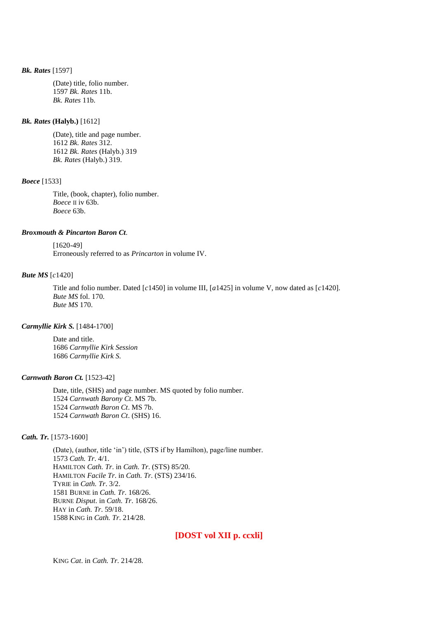### *Bk. Rates* [1597]

(Date) title, folio number. 1597 *Bk. Rates* 11b. *Bk. Rates* 11b.

# *Bk. Rates* **(Halyb.)** [1612]

(Date), title and page number. 1612 *Bk. Rates* 312. 1612 *Bk. Rates* (Halyb.) 319 *Bk. Rates* (Halyb.) 319.

# *Boece* [1533]

Title, (book, chapter), folio number. *Boece* II iv 63b. *Boece* 63b.

# *Broxmouth & Pincarton Baron Ct*.

# [1620-49]

Erroneously referred to as *Princarton* in volume IV.

#### *Bute MS* [*c*1420]

Title and folio number. Dated [*c*1450] in volume III, [*a*1425] in volume V, now dated as [*c*1420]. *Bute MS* fol. 170. *Bute MS* 170.

#### *Carmyllie Kirk S.* [1484-1700]

Date and title. 1686 *Carmyllie Kirk Session* 1686 *Carmyllie Kirk S.*

# *Carnwath Baron Ct.* [1523-42]

Date, title, (SHS) and page number. MS quoted by folio number. *Carnwath Barony Ct*. MS 7b. *Carnwath Baron Ct*. MS 7b. *Carnwath Baron Ct*. (SHS) 16.

### *Cath. Tr.* [1573-1600]

(Date), (author, title 'in') title, (STS if by Hamilton), page/line number. 1573 *Cath. Tr*. 4/1. HAMILTON *Cath. Tr*. in *Cath. Tr*. (STS) 85/20. HAMILTON *Facile Tr*. in *Cath. Tr*. (STS) 234/16. TYRIE in *Cath. Tr*. 3/2. 1581 BURNE in *Cath. Tr*. 168/26. BURNE *Disput*. in *Cath. Tr*. 168/26. HAY in *Cath. Tr*. 59/18. 1588 KING in *Cath. Tr*. 214/28.

# **[DOST vol XII p. ccxli]**

KING *Cat*. in *Cath. Tr*. 214/28.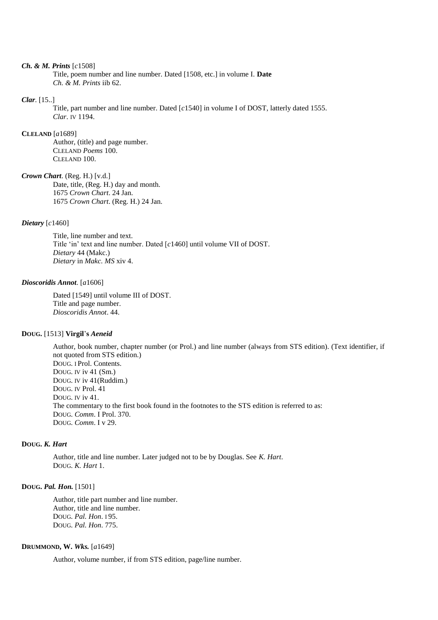#### *Ch. & M. Prints* [*c*1508]

Title, poem number and line number. Dated [1508, etc.] in volume I. **Date** *Ch. & M. Prints* iib 62.

#### *Clar*. [15..]

Title, part number and line number. Dated [*c*1540] in volume I of DOST, latterly dated 1555. *Clar*. IV 1194.

#### **CLELAND** [*a*1689]

Author, (title) and page number. CLELAND *Poems* 100. CLELAND 100.

# *Crown Chart*. (Reg. H.) [v.d.]

Date, title, (Reg. H.) day and month. 1675 *Crown Chart*. 24 Jan. 1675 *Crown Chart*. (Reg. H.) 24 Jan.

### *Dietary* [*c*1460]

Title, line number and text. Title 'in' text and line number. Dated [*c*1460] until volume VII of DOST. *Dietary* 44 (Makc.) *Dietary* in *Makc. MS* xiv 4.

#### *Dioscoridis Annot*. [*a*1606]

Dated [1549] until volume III of DOST. Title and page number. *Dioscoridis Annot*. 44.

# **DOUG.** [1513] **Virgil**'**s** *Aeneid*

Author, book number, chapter number (or Prol.) and line number (always from STS edition). (Text identifier, if not quoted from STS edition.) DOUG. I Prol. Contents. DOUG. IV iv 41 (Sm.) DOUG. IV iv 41(Ruddim.) DOUG. IV Prol. 41 DOUG. IV iv 41. The commentary to the first book found in the footnotes to the STS edition is referred to as: DOUG. *Comm*. I Prol. 370. DOUG. *Comm*. I v 29.

#### **DOUG.** *K. Hart*

Author, title and line number. Later judged not to be by Douglas. See *K. Hart*. DOUG. *K. Hart* 1.

# **DOUG.** *Pal. Hon.* [1501]

Author, title part number and line number. Author, title and line number. DOUG. *Pal. Hon*. I 95. DOUG. *Pal. Hon*. 775.

# **DRUMMOND, W.** *Wks.* [*a*1649]

Author, volume number, if from STS edition, page/line number.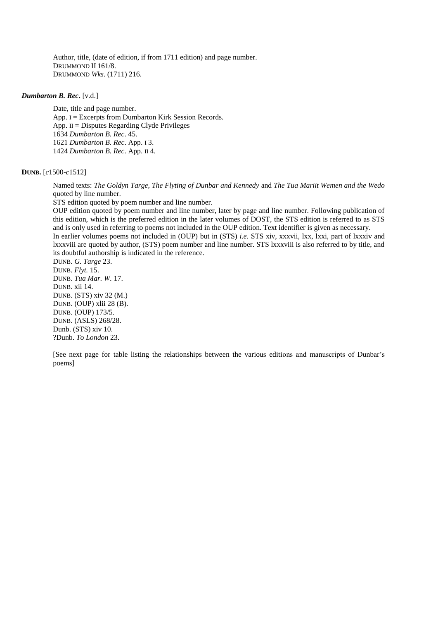Author, title, (date of edition, if from 1711 edition) and page number. DRUMMOND II 161/8. DRUMMOND *Wks*. (1711) 216.

#### *Dumbarton B. Rec***.** [v.d.]

Date, title and page number. App. I = Excerpts from Dumbarton Kirk Session Records. App. II = Disputes Regarding Clyde Privileges 1634 *Dumbarton B. Rec*. 45. 1621 *Dumbarton B. Rec*. App. I 3. 1424 *Dumbarton B. Rec*. App. II 4.

# **DUNB.** [*c*1500-*c*1512]

Named texts: *The Goldyn Targe, The Flyting of Dunbar and Kennedy* and *The Tua Mariit Wemen and the Wedo*  quoted by line number.

STS edition quoted by poem number and line number.

OUP edition quoted by poem number and line number, later by page and line number. Following publication of this edition, which is the preferred edition in the later volumes of DOST, the STS edition is referred to as STS and is only used in referring to poems not included in the OUP edition. Text identifier is given as necessary. In earlier volumes poems not included in (OUP) but in (STS) *i.e*. STS xiv, xxxvii, lxx, lxxi, part of lxxxiv and lxxxviii are quoted by author, (STS) poem number and line number. STS lxxxviii is also referred to by title, and its doubtful authorship is indicated in the reference.

DUNB. *G. Targe* 23. DUNB. *Flyt.* 15. DUNB. *Tua Mar. W.* 17. DUNB. xii 14. DUNB. (STS) xiv 32 (M.) DUNB. (OUP) xlii 28 (B). DUNB. (OUP) 173/5. DUNB. (ASLS) 268/28. Dunb. (STS) xiv 10. ?Dunb. *To London* 23.

[See next page for table listing the relationships between the various editions and manuscripts of Dunbar's poems]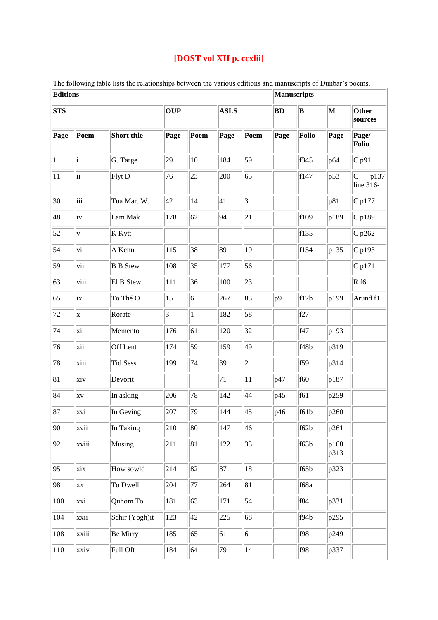# **[DOST vol XII p. ccxlii]**

The following table lists the relationships between the various editions and manuscripts of Dunbar's poems.<br> **Editions** 

| <b>Editions</b> |             |                 |                 |              |             |                |              | <b>Manuscripts</b> |              |                                                                                      |  |  |
|-----------------|-------------|-----------------|-----------------|--------------|-------------|----------------|--------------|--------------------|--------------|--------------------------------------------------------------------------------------|--|--|
| <b>STS</b>      |             |                 | <b>OUP</b>      |              | <b>ASLS</b> |                | <b>BD</b>    | $ {\bf B} $        | $\mathbf M$  | Other<br>sources                                                                     |  |  |
| Page            | Poem        | Short title     | Page            | Poem         | Page        | Poem           | Page         | Folio              | Page         | Page/<br>Folio                                                                       |  |  |
| $\vert$ 1       | i           | G. Targe        | 29              | 10           | 184         | 59             |              | f345               | p64          | $C$ p91                                                                              |  |  |
| 11              | ii          | Flyt D          | 76              | 23           | 200         | 65             |              | f147               | p53          | $\mathsf{C}% _{0}\left( t\right) \sim\mathsf{C}\left( t\right)$<br>p137<br>line 316- |  |  |
| 30              | iii         | Tua Mar. W.     | 42              | 14           | 41          | $\overline{3}$ |              |                    | p81          | C p177                                                                               |  |  |
| 48              | iv          | Lam Mak         | 178             | 62           | 94          | 21             |              | f109               | p189         | $C$ p189                                                                             |  |  |
| 52              | $\mathbf v$ | K Kytt          |                 |              |             |                |              | f135               |              | $C$ p262                                                                             |  |  |
| 54              | vi          | A Kenn          | 115             | 38           | 89          | 19             |              | f154               | p135         | $\overline{C}$ p193                                                                  |  |  |
| 59              | vii         | <b>B</b> B Stew | 108             | 35           | 177         | 56             |              |                    |              | $C$ p171                                                                             |  |  |
| 63              | viii        | El B Stew       | 111             | 36           | 100         | 23             |              |                    |              | Rf6                                                                                  |  |  |
| 65              | ix          | To Thé O        | 15              | 6            | 267         | 83             | $ p9\rangle$ | f17b               | p199         | Arund f1                                                                             |  |  |
| 72              | X           | Rorate          | $\vert 3 \vert$ | $\mathbf{1}$ | 182         | 58             |              | f27                |              |                                                                                      |  |  |
| 74              | xi          | Memento         | 176             | 61           | 120         | 32             |              | f47                | p193         |                                                                                      |  |  |
| 76              | xii         | Off Lent        | 174             | 59           | 159         | 49             |              | f48b               | p319         |                                                                                      |  |  |
| 78              | xiii        | <b>Tid Sess</b> | 199             | 74           | 39          | $ 2\rangle$    |              | f59                | p314         |                                                                                      |  |  |
| 81              | xiv         | Devorit         |                 |              | 71          | 11             | p47          | f60                | p187         |                                                                                      |  |  |
| 84              | <b>XV</b>   | In asking       | 206             | 78           | 142         | 44             | p45          | f61                | p259         |                                                                                      |  |  |
| 87              | xvi         | In Geving       | 207             | 79           | 144         | 45             | p46          | f61b               | p260         |                                                                                      |  |  |
| 90              | xvii        | In Taking       | 210             | 80           | 147         | 46             |              | f62b               | p261         |                                                                                      |  |  |
| 92              | xviii       | Musing          | 211             | 81           | 122         | 33             |              | f63b               | p168<br>p313 |                                                                                      |  |  |
| 95              | xix         | How sowld       | 214             | 82           | 87          | 18             |              | f65b               | p323         |                                                                                      |  |  |
| 98              | <b>XX</b>   | To Dwell        | 204             | 77           | 264         | 81             |              | f68a               |              |                                                                                      |  |  |
| 100             | xxi         | Quhom To        | 181             | 63           | 171         | 54             |              | f84                | p331         |                                                                                      |  |  |
| 104             | xxii        | Schir (Yogh)it  | 123             | 42           | 225         | 68             |              | f94b               | p295         |                                                                                      |  |  |
| 108             | xxiii       | Be Mirry        | 185             | 65           | 61          | $ 6\rangle$    |              | f98                | p249         |                                                                                      |  |  |
| 110             | xxiv        | Full Oft        | 184             | 64           | 79          | 14             |              | f98                | p337         |                                                                                      |  |  |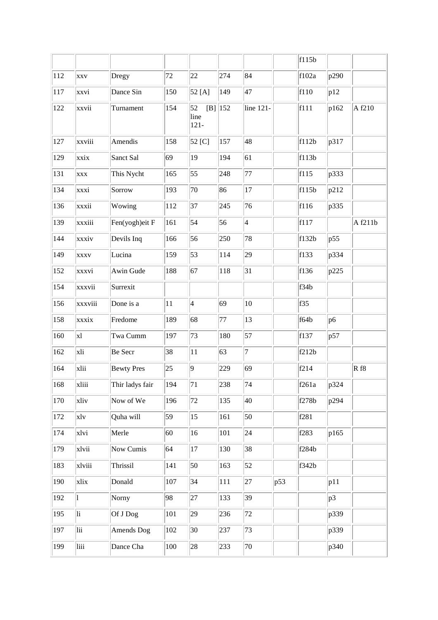|     |               |                   |     |                       |            |                 |     | f115b           |      |         |
|-----|---------------|-------------------|-----|-----------------------|------------|-----------------|-----|-----------------|------|---------|
| 112 | <b>XXV</b>    | Dregy             | 72  | 22                    | 274        | 84              |     | f102a           | p290 |         |
| 117 | xxvi          | Dance Sin         | 150 | 52 [A]                | 149        | 47              |     | f110            | p12  |         |
| 122 | xxvii         | Turnament         | 154 | 52<br>line<br>$121 -$ | $[B]$  152 | line 121-       |     | f111            | p162 | A f210  |
| 127 | xxviii        | Amendis           | 158 | 52 [C]                | 157        | 48              |     | $\vert$ f112b   | p317 |         |
| 129 | xxix          | Sanct Sal         | 69  | 19                    | 194        | 61              |     | f113b           |      |         |
| 131 | <b>XXX</b>    | This Nycht        | 165 | 55                    | 248        | 77              |     | f115            | p333 |         |
| 134 | xxxi          | Sorrow            | 193 | 70                    | 86         | 17              |     | f115b           | p212 |         |
| 136 | xxxii         | Wowing            | 112 | 37                    | 245        | 76              |     | f116            | p335 |         |
| 139 | xxxiii        | Fen(yogh)eit F    | 161 | 54                    | 56         | $\vert 4 \vert$ |     | f117            |      | A f211b |
| 144 | xxxiv         | Devils Inq        | 166 | 56                    | 250        | 78              |     | f132b           | p55  |         |
| 149 | <b>XXXV</b>   | Lucina            | 159 | 53                    | 114        | 29              |     | f133            | p334 |         |
| 152 | xxxvi         | Awin Gude         | 188 | 67                    | 118        | 31              |     | f136            | p225 |         |
| 154 | xxxvii        | Surrexit          |     |                       |            |                 |     | f34b            |      |         |
| 156 | xxxviii       | Done is a         | 11  | $\overline{4}$        | 69         | 10              |     | f <sub>35</sub> |      |         |
| 158 | xxxix         | Fredome           | 189 | 68                    | 77         | $ 13\rangle$    |     | f64b            | p6   |         |
| 160 | <sub>x1</sub> | Twa Cumm          | 197 | 73                    | 180        | 57              |     | f137            | p57  |         |
| 162 | xli           | Be Secr           | 38  | 11                    | 63         | $\overline{7}$  |     | f212b           |      |         |
| 164 | xlii          | <b>Bewty Pres</b> | 25  | 9                     | 229        | 69              |     | f214            |      | Rf8     |
| 168 | xliii         | Thir ladys fair   | 194 | 71                    | 238        | 74              |     | f261a           | p324 |         |
| 170 | xliv          | Now of We         | 196 | 72                    | 135        | 40              |     | f278b           | p294 |         |
| 172 | xlv           | Quha will         | 59  | 15                    | 161        | 50              |     | f281            |      |         |
| 174 | xlvi          | Merle             | 60  | 16                    | 101        | 24              |     | f283            | p165 |         |
| 179 | xlvii         | Now Cumis         | 64  | 17                    | 130        | 38              |     | f284b           |      |         |
| 183 | xlviii        | Thrissil          | 141 | 50                    | 163        | 52              |     | f342b           |      |         |
| 190 | xlix          | Donald            | 107 | 34                    | 111        | 27              | p53 |                 | p11  |         |
| 192 | 1             | Norny             | 98  | 27                    | 133        | 39              |     |                 | p3   |         |
| 195 | li            | Of J Dog          | 101 | 29                    | 236        | 72              |     |                 | p339 |         |
| 197 | lii           | Amends Dog        | 102 | 30                    | 237        | 73              |     |                 | p339 |         |
| 199 | liii          | Dance Cha         | 100 | 28                    | 233        | 70              |     |                 | p340 |         |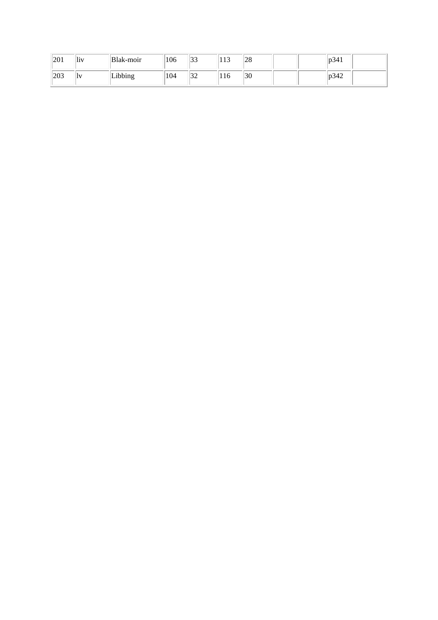| 201 | 1\  | Blak-moir | 106 | $\sim$<br>ر ر | $\sim$<br>11J | $\sim$<br>$\angle$ O |  | 1D34 |  |
|-----|-----|-----------|-----|---------------|---------------|----------------------|--|------|--|
| 203 | . . | 1001n     | 104 | $\sim$<br>ے ت | 110           | 30                   |  | b342 |  |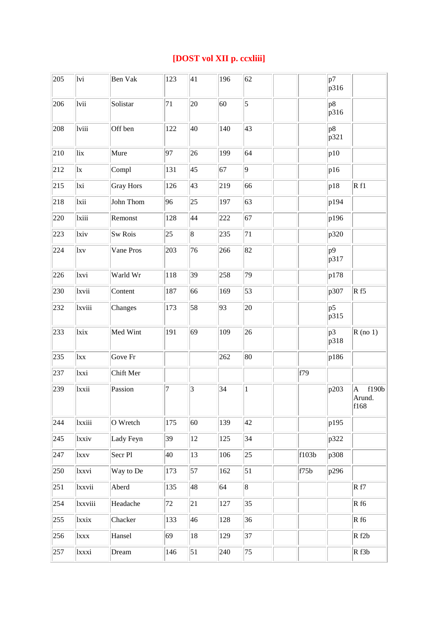# **[DOST vol XII p. ccxliii]**

| 205 | lvi         | <b>Ben Vak</b>     | 123              | 41               | 196 | 62             |       | p7<br>p316  |                                        |
|-----|-------------|--------------------|------------------|------------------|-----|----------------|-------|-------------|----------------------------------------|
| 206 | lvii        | Solistar           | 71               | 20               | 60  | $\overline{5}$ |       | p8 <br>p316 |                                        |
| 208 | lviii       | Off ben            | 122              | 40               | 140 | 43             |       | p8<br>p321  |                                        |
| 210 | lix         | Mure               | 97               | 26               | 199 | 64             |       | p10         |                                        |
| 212 | lx          | Compl              | 131              | 45               | 67  | 9              |       | p16         |                                        |
| 215 | lxi         | <b>Gray Hors</b>   | 126              | 43               | 219 | 66             |       | p18         | Rf1                                    |
| 218 | lxii        | John Thom          | 96               | $ 25\rangle$     | 197 | 63             |       | p194        |                                        |
| 220 | lxiii       | Remonst            | 128              | 44               | 222 | 67             |       | p196        |                                        |
| 223 | lxiv        | <b>Sw Rois</b>     | $ 25\rangle$     | $\vert 8 \vert$  | 235 | 71             |       | p320        |                                        |
| 224 | $l$ xv      | Vane Pros          | 203              | 76               | 266 | 82             |       | p9<br>p317  |                                        |
| 226 | lxvi        | Warld Wr           | 118              | 39               | 258 | 79             |       | p178        |                                        |
| 230 | lxvii       | Content            | 187              | 66               | 169 | 53             |       | p307        | Rf5                                    |
| 232 | lxviii      | Changes            | 173              | 58               | 93  | 20             |       | p5<br>p315  |                                        |
| 233 | lxix        | Med Wint           | 191              | 69               | 109 | 26             |       | p3<br>p318  | $R$ (no 1)                             |
| 235 | lxx         | Gove Fr            |                  |                  | 262 | 80             |       | p186        |                                        |
| 237 | lxxi        | Chift Mer          |                  |                  |     |                | f79   |             |                                        |
| 239 | lxxii       | Passion            | $\boldsymbol{7}$ | 3                | 34  | $\,1$          |       | p203        | f190b<br>$\mathbf A$<br>Arund.<br>f168 |
| 244 | lxxiii      | O Wretch           | 175              | 60               | 139 | 42             |       | p195        |                                        |
| 245 | lxxiv       | Lady Feyn          | 39               | 12               | 125 | 34             |       | p322        |                                        |
| 247 | <b>lxxv</b> | Secr <sub>Pl</sub> | 40               | 13               | 106 | 25             | f103b | p308        |                                        |
| 250 | lxxvi       | Way to De          | 173              | 57               | 162 | 51             | f75b  | p296        |                                        |
| 251 | lxxvii      | Aberd              | 135              | 48               | 64  | $\overline{8}$ |       |             | Rf7                                    |
| 254 | lxxviii     | Headache           | 72               | 21               | 127 | 35             |       |             | Rf6                                    |
| 255 | lxxix       | Chacker            | 133              | 46               | 128 | 36             |       |             | Rf6                                    |
| 256 | lxxx        | Hansel             | 69               | 18               | 129 | 37             |       |             | Rf2b                                   |
| 257 | lxxxi       | Dream              | 146              | $\vert 51 \vert$ | 240 | 75             |       |             | Rf3b                                   |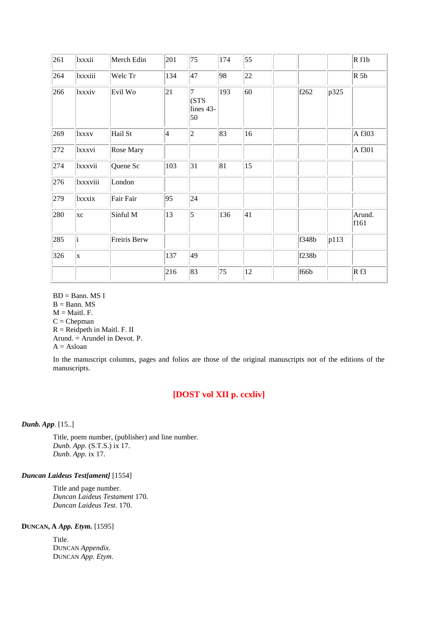| 261 | lxxxii      | Merch Edin   | 201 | 75                            | 174 | 55 |       |      | Rf1b           |
|-----|-------------|--------------|-----|-------------------------------|-----|----|-------|------|----------------|
| 264 | lxxxiii     | Welc Tr      | 134 | 47                            | 98  | 22 |       |      | $R$ 5b         |
| 266 | lxxxiv      | Evil Wo      | 21  | 17<br>(STS<br>lines 43-<br>50 | 193 | 60 | f262  | p325 |                |
| 269 | <i>xxxv</i> | Hail St      | 4   | $ 2\rangle$                   | 83  | 16 |       |      | A f303         |
| 272 | lxxxvi      | Rose Mary    |     |                               |     |    |       |      | A f301         |
| 274 | lxxxvii     | Quene Sc     | 103 | 31                            | 81  | 15 |       |      |                |
| 276 | lxxxviii    | London       |     |                               |     |    |       |      |                |
| 279 | lxxxix      | Fair Fair    | 95  | 24                            |     |    |       |      |                |
| 280 | xc          | Sinful M     | 13  | $\vert$ 5                     | 136 | 41 |       |      | Arund.<br>f161 |
| 285 | i           | Freiris Berw |     |                               |     |    | f348b | p113 |                |
| 326 | x           |              | 137 | 49                            |     |    | f238b |      |                |
|     |             |              | 216 | 83                            | 75  | 12 | f66b  |      | Rf3            |

 $BD =$ Bann. MS I  $B =$ Bann. MS  $M =$ Maitl. F.  $C =$ Chepman  $R =$  Reidpeth in Maitl. F. II Arund. = Arundel in Devot. P.  $A = Asloan$ 

In the manuscript columns, pages and folios are those of the original manuscripts not of the editions of the manuscripts.

# **[DOST vol XII p. ccxliv]**

*Dunb. App*. [15..]

Title, poem number, (publisher) and line number. *Dunb. App*. (S.T.S.) ix 17. *Dunb. App*. ix 17.

# *Duncan Laideus Test[ament]* [1554]

Title and page number. *Duncan Laideus Testament* 170. *Duncan Laideus Test*. 170.

# **DUNCAN, A** *App. Etym.* [1595]

Title. DUNCAN *Appendix.* DUNCAN *App. Etym*.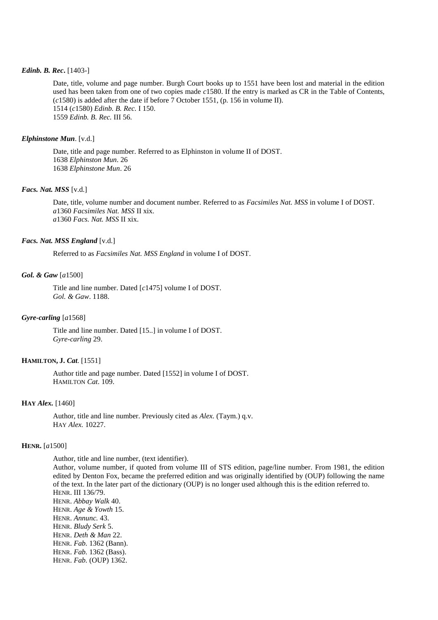#### *Edinb. B. Rec***.** [1403-]

Date, title, volume and page number. Burgh Court books up to 1551 have been lost and material in the edition used has been taken from one of two copies made *c*1580. If the entry is marked as CR in the Table of Contents, (*c*1580) is added after the date if before 7 October 1551, (p. 156 in volume II). 1514 (*c*1580) *Edinb. B. Rec.* I 150. 1559 *Edinb. B. Rec.* III 56.

#### *Elphinstone Mun*. [v.d.]

Date, title and page number. Referred to as Elphinston in volume II of DOST. 1638 *Elphinston Mun*. 26 1638 *Elphinstone Mun*. 26

#### *Facs. Nat. MSS* [v.d.]

Date, title, volume number and document number. Referred to as *Facsimiles Nat. MSS* in volume I of DOST. *a*1360 *Facsimiles Nat. MSS* II xix. *a*1360 *Facs. Nat. MSS* II xix.

#### *Facs. Nat. MSS England* [v.d.]

Referred to as *Facsimiles Nat. MSS England* in volume I of DOST.

#### *Gol. & Gaw* [*a*1500]

Title and line number. Dated [*c*1475] volume I of DOST. *Gol. & Gaw*. 1188.

#### *Gyre-carling* [*a*1568]

Title and line number. Dated [15..] in volume I of DOST. *Gyre-carling* 29.

# **HAMILTON, J.** *Cat*. [1551]

Author title and page number. Dated [1552] in volume I of DOST. HAMILTON *Cat*. 109.

# **HAY** *Alex.* [1460]

Author, title and line number. Previously cited as *Alex.* (Taym.) q.v. HAY *Alex.* 10227.

#### **HENR.** [*a*1500]

Author, title and line number, (text identifier).

Author, volume number, if quoted from volume III of STS edition, page/line number. From 1981, the edition edited by Denton Fox, became the preferred edition and was originally identified by (OUP) following the name of the text. In the later part of the dictionary (OUP) is no longer used although this is the edition referred to. HENR. III 136/79. HENR. *Abbay Walk* 40. HENR. *Age & Yowth* 15. HENR. *Annunc.* 43. HENR. *Bludy Serk* 5. HENR. *Deth & Man* 22. HENR. *Fab.* 1362 (Bann). HENR. *Fab.* 1362 (Bass). HENR. *Fab.* (OUP) 1362.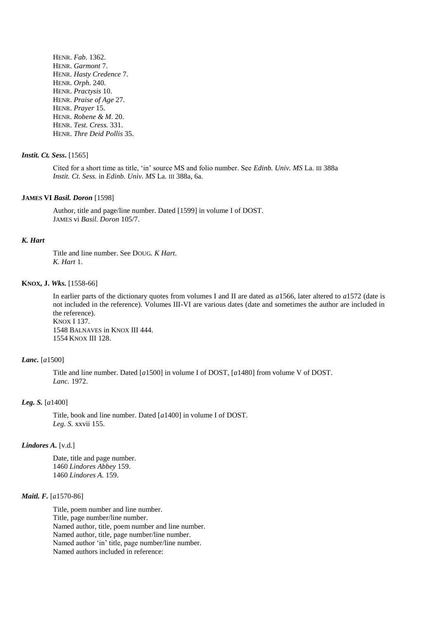HENR. *Fab.* 1362. HENR. *Garmont* 7. HENR. *Hasty Credence* 7. HENR. *Orph.* 240. HENR. *Practysis* 10. HENR. *Praise of Age* 27. HENR. *Prayer* 15. HENR. *Robene & M*. 20. HENR. *Test. Cress.* 331. HENR. *Thre Deid Pollis* 35.

#### *Instit. Ct. Sess***.** [1565]

Cited for a short time as title, 'in' source MS and folio number. See *Edinb. Univ. MS* La. III 388a *Instit. Ct. Sess.* in *Edinb. Univ. MS* La. III 388a, 6a.

#### **JAMES VI** *Basil. Doron* [1598]

Author, title and page/line number. Dated [1599] in volume I of DOST. JAMES vi *Basil. Doron* 105/7.

#### *K. Hart*

Title and line number. See DOUG. *K Hart*. *K. Hart* 1.

#### **KNOX, J.** *Wks.* [1558-66]

In earlier parts of the dictionary quotes from volumes I and II are dated as *a*1566, later altered to *a*1572 (date is not included in the reference). Volumes III-VI are various dates (date and sometimes the author are included in the reference). KNOX I 137.

1548 BALNAVES in KNOX III 444. 1554 KNOX III 128.

# *Lanc.* [*a*1500]

Title and line number. Dated [*a*1500] in volume I of DOST, [*a*1480] from volume V of DOST. *Lanc.* 1972.

#### *Leg. S.* [*a*1400]

Title, book and line number. Dated [*a*1400] in volume I of DOST. *Leg. S.* xxvii 155.

#### *Lindores A.* [v.d.]

Date, title and page number. 1460 *Lindores Abbey* 159. 1460 *Lindores A.* 159.

# *Maitl. F.* [*a*1570-86]

Title, poem number and line number. Title, page number/line number. Named author, title, poem number and line number. Named author, title, page number/line number. Named author 'in' title, page number/line number. Named authors included in reference: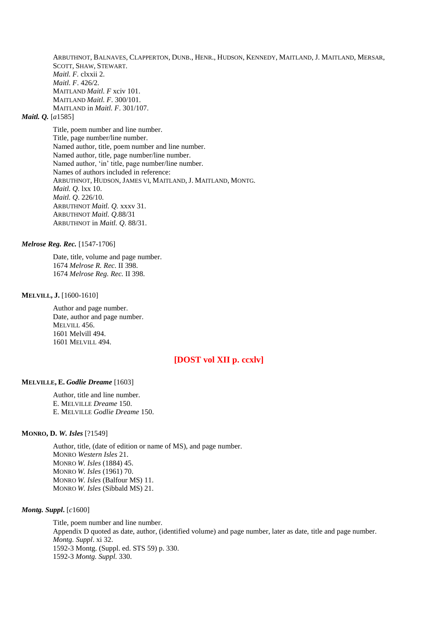ARBUTHNOT, BALNAVES, CLAPPERTON, DUNB., HENR., HUDSON, KENNEDY, MAITLAND, J. MAITLAND, MERSAR, SCOTT, SHAW, STEWART. *Maitl. F.* clxxii 2. *Maitl. F*. 426/2. MAITLAND *Maitl. F* xciv 101. MAITLAND *Maitl. F*. 300/101. MAITLAND in *Maitl. F*. 301/107.

# *Maitl. Q.* [*a*1585]

Title, poem number and line number. Title, page number/line number. Named author, title, poem number and line number. Named author, title, page number/line number. Named author, 'in' title, page number/line number. Names of authors included in reference: ARBUTHNOT, HUDSON, JAMES VI, MAITLAND, J. MAITLAND, MONTG. *Maitl. Q.* lxx 10. *Maitl. Q*. 226/10. ARBUTHNOT *Maitl. Q.* xxxv 31. ARBUTHNOT *Maitl. Q*.88/31 ARBUTHNOT in *Maitl. Q*. 88/31.

#### *Melrose Reg. Rec.* [1547-1706]

Date, title, volume and page number. 1674 *Melrose R. Rec.* II 398. 1674 *Melrose Reg. Rec.* II 398.

# **MELVILL, J.** [1600-1610]

Author and page number. Date, author and page number. MELVILL 456. 1601 Melvill 494. 1601 MELVILL 494.

# **[DOST vol XII p. ccxlv]**

# **MELVILLE, E.** *Godlie Dreame* [1603]

Author, title and line number. E. MELVILLE *Dreame* 150. E. MELVILLE *Godlie Dreame* 150.

#### **MONRO, D.** *W. Isles* [?1549]

Author, title, (date of edition or name of MS), and page number. MONRO *Western Isles* 21. MONRO *W. Isles* (1884) 45. MONRO *W. Isles* (1961) 70. MONRO *W. Isles* (Balfour MS) 11. MONRO *W. Isles* (Sibbald MS) 21.

#### *Montg. Suppl***.** [*c*1600]

Title, poem number and line number. Appendix D quoted as date, author, (identified volume) and page number, later as date, title and page number. *Montg. Suppl*. xi 32. 1592-3 Montg. (Suppl. ed. STS 59) p. 330. 1592-3 *Montg. Suppl.* 330.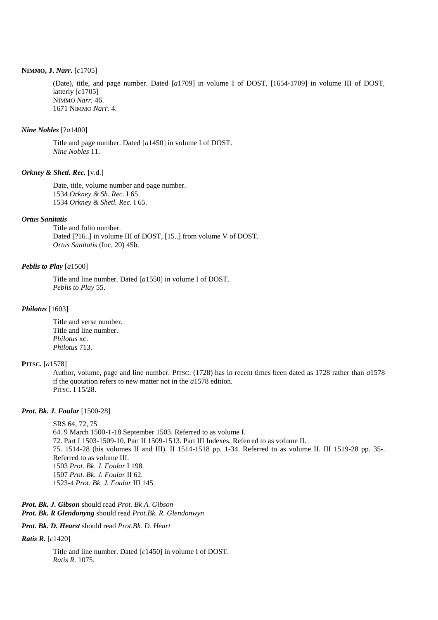# **NIMMO, J.** *Narr.* [*c*1705]

(Date), title, and page number. Dated [*a*1709] in volume I of DOST, [1654-1709] in volume III of DOST, latterly [*c*1705] NIMMO *Narr.* 46. 1671 NIMMO *Narr.* 4.

#### *Nine Nobles* [?*a*1400]

Title and page number. Dated [*a*1450] in volume I of DOST. *Nine Nobles* 11.

# *Orkney & Shetl. Rec.* [v.d.]

Date, title, volume number and page number. 1534 *Orkney & Sh. Rec*. I 65. 1534 *Orkney & Shetl. Rec*. I 65.

# *Ortus Sanitatis*

Title and folio number. Dated [?16..] in volume III of DOST, [15..] from volume V of DOST. *Ortus Sanitatis* (Inc. 20) 45b.

#### *Peblis to Play* [*a*1500]

Title and line number. Dated [*a*1550] in volume I of DOST. *Peblis to Play* 55.

#### *Philotus* [1603]

Title and verse number. Title and line number. *Philotus* xc. *Philotus* 713.

#### **PITSC.** [*a*1578]

Author, volume, page and line number. PITSC. (1728) has in recent times been dated as 1728 rather than *a*1578 if the quotation refers to new matter not in the *a*1578 edition. PITSC. I 15/28.

#### *Prot. Bk. J. Foular* [1500-28]

SRS 64, 72, 75 64. 9 March 1500-1-18 September 1503. Referred to as volume I. 72. Part I 1503-1509-10. Part II 1509-1513. Part III Indexes. Referred to as volume II. 75. 1514-28 (his volumes II and III). II 1514-1518 pp. 1-34. Referred to as volume II. III 1519-28 pp. 35-. Referred to as volume III. 1503 *Prot. Bk. J. Foular* I 198. 1507 *Prot. Bk. J. Foular* II 62. 1523-4 *Prot. Bk. J. Foular* III 145.

*Prot. Bk. J. Gibson* should read *Prot. Bk A. Gibson Prot. Bk. R Glendonyng* should read *Prot.Bk. R. Glendonwyn*

#### *Prot. Bk. D. Hearst* should read *Prot.Bk. D. Heart*

#### *Ratis R.* [*c*1420]

Title and line number. Dated [*c*1450] in volume I of DOST. *Ratis R.* 1075.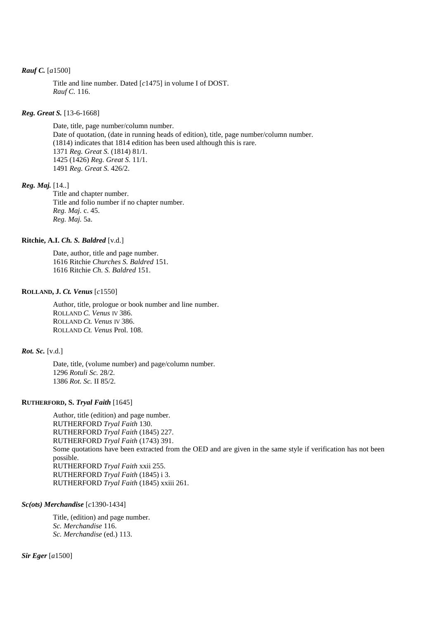### *Rauf C.* [*a*1500]

Title and line number. Dated [*c*1475] in volume I of DOST. *Rauf C.* 116.

# *Reg. Great S.* [13-6-1668]

Date, title, page number/column number. Date of quotation, (date in running heads of edition), title, page number/column number. (1814) indicates that 1814 edition has been used although this is rare. 1371 *Reg. Great S.* (1814) 81/1. 1425 (1426) *Reg. Great S.* 11/1. 1491 *Reg. Great S.* 426/2.

#### *Reg. Maj.* [14..]

Title and chapter number. Title and folio number if no chapter number. *Reg. Maj.* c. 45. *Reg. Maj.* 5a.

# **Ritchie, A.I.** *Ch. S. Baldred* [v.d.]

Date, author, title and page number. 1616 Ritchie *Churches S. Baldred* 151. 1616 Ritchie *Ch. S. Baldred* 151.

#### **ROLLAND, J.** *Ct. Venus* [*c*1550]

Author, title, prologue or book number and line number. ROLLAND *C. Venus* IV 386. ROLLAND *Ct. Venus* IV 386. ROLLAND *Ct. Venus* Prol. 108.

# *Rot. Sc.* [v.d.]

Date, title, (volume number) and page/column number. 1296 *Rotuli Sc.* 28/2. 1386 *Rot. Sc.* II 85/2.

# **RUTHERFORD, S.** *Tryal Faith* [1645]

Author, title (edition) and page number. RUTHERFORD *Tryal Faith* 130. RUTHERFORD *Tryal Faith* (1845) 227. RUTHERFORD *Tryal Faith* (1743) 391. Some quotations have been extracted from the OED and are given in the same style if verification has not been possible. RUTHERFORD *Tryal Faith* xxii 255. RUTHERFORD *Tryal Faith* (1845) i 3. RUTHERFORD *Tryal Faith* (1845) xxiii 261.

#### *Sc(ots) Merchandise* [*c*1390-1434]

Title, (edition) and page number. *Sc. Merchandise* 116. *Sc. Merchandise* (ed.) 113.

*Sir Eger* [*a*1500]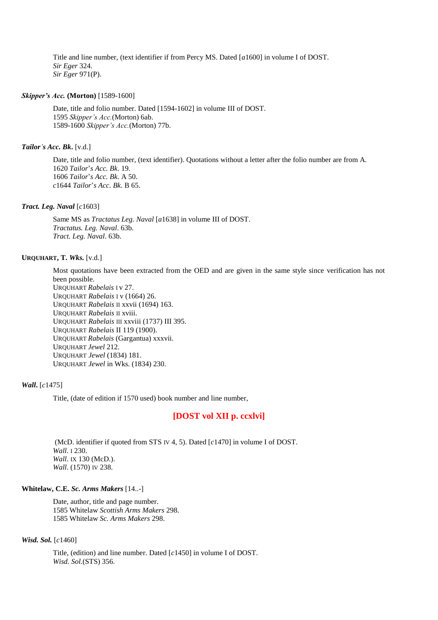Title and line number, (text identifier if from Percy MS. Dated [*a*1600] in volume I of DOST. *Sir Eger* 324. *Sir Eger* 971(P).

#### *Skipper's Acc.* **(Morton)** [1589-1600]

Date, title and folio number. Dated [1594-1602] in volume III of DOST. 1595 *Skipper's Acc.*(Morton) 6ab. 1589-1600 *Skipper's Acc.*(Morton) 77b.

#### *Tailor's Acc. Bk***.** [v.d.]

Date, title and folio number, (text identifier). Quotations without a letter after the folio number are from A. 1620 *Tailor*'*s Acc. Bk*. 19. 1606 *Tailor*'*s Acc. Bk*. A 50. *c*1644 *Tailor*'*s Acc. Bk*. B 65.

# *Tract. Leg. Naval* [*c*1603]

Same MS as *Tractatus Leg. Naval* [*a*1638] in volume III of DOST. *Tractatus. Leg. Naval*. 63b. *Tract. Leg. Naval*. 63b.

#### **URQUHART, T.** *Wks.* [v.d.]

Most quotations have been extracted from the OED and are given in the same style since verification has not been possible.

URQUHART *Rabelais* I v 27. URQUHART *Rabelais* I v (1664) 26. URQUHART *Rabelais* II xxvii (1694) 163. URQUHART *Rabelais* II xviii. URQUHART *Rabelais* III xxviii (1737) III 395. URQUHART *Rabelais* II 119 (1900). URQUHART *Rabelais* (Gargantua) xxxvii. URQUHART *Jewel* 212. URQUHART *Jewel* (1834) 181. URQUHART *Jewel* in Wks. (1834) 230.

# *Wall***.** [*c*1475]

Title, (date of edition if 1570 used) book number and line number,

# **[DOST vol XII p. ccxlvi]**

(McD. identifier if quoted from STS IV 4, 5). Dated [*c*1470] in volume I of DOST. *Wall*. I 230. *Wall*. IX 130 (McD.). *Wall*. (1570) IV 238.

# **Whitelaw, C.E.** *Sc. Arms Makers* [14..-]

Date, author, title and page number. 1585 Whitelaw *Scottish Arms Makers* 298. 1585 Whitelaw *Sc. Arms Makers* 298.

#### *Wisd. Sol.* [*c*1460]

Title, (edition) and line number. Dated [*c*1450] in volume I of DOST. *Wisd. Sol.*(STS) 356.